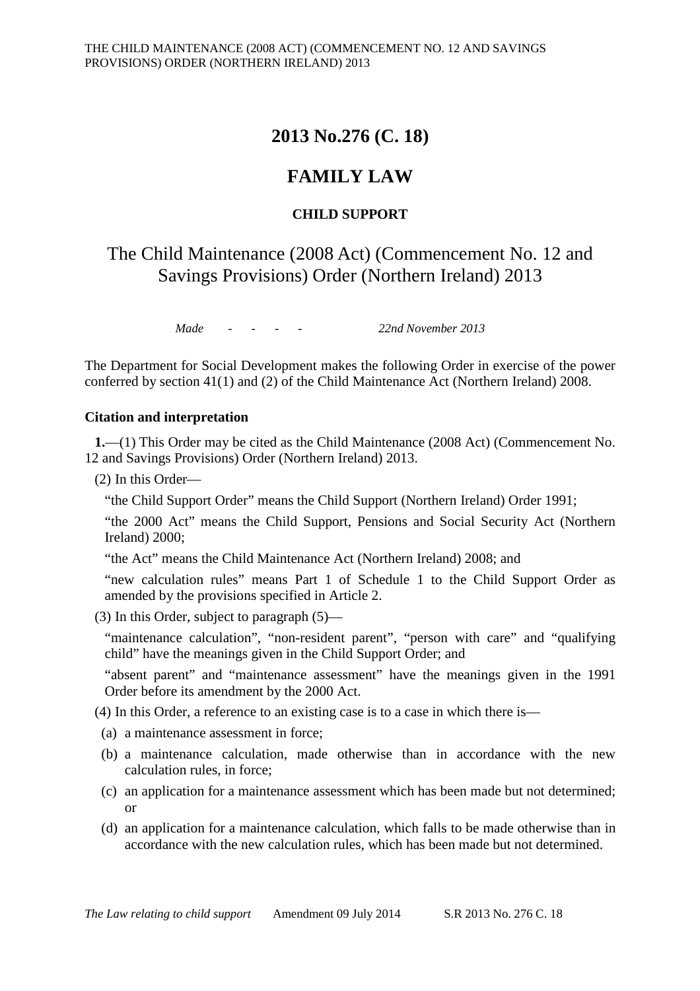# **2013 No.276 (C. 18)**

# **FAMILY LAW**

## **CHILD SUPPORT**

The Child Maintenance (2008 Act) (Commencement No. 12 and Savings Provisions) Order (Northern Ireland) 2013

*Made - - - - 22nd November 2013*

The Department for Social Development makes the following Order in exercise of the power conferred by section 41(1) and (2) of the Child Maintenance Act (Northern Ireland) 2008.

#### **Citation and interpretation**

**1.**—(1) This Order may be cited as the Child Maintenance (2008 Act) (Commencement No. 12 and Savings Provisions) Order (Northern Ireland) 2013.

(2) In this Order—

"the Child Support Order" means the Child Support (Northern Ireland) Order 1991;

"the 2000 Act" means the Child Support, Pensions and Social Security Act (Northern Ireland) 2000;

"the Act" means the Child Maintenance Act (Northern Ireland) 2008; and

"new calculation rules" means Part 1 of Schedule 1 to the Child Support Order as amended by the provisions specified in Article 2.

(3) In this Order, subject to paragraph (5)—

"maintenance calculation", "non-resident parent", "person with care" and "qualifying child" have the meanings given in the Child Support Order; and

"absent parent" and "maintenance assessment" have the meanings given in the 1991 Order before its amendment by the 2000 Act.

(4) In this Order, a reference to an existing case is to a case in which there is—

- (a) a maintenance assessment in force;
- (b) a maintenance calculation, made otherwise than in accordance with the new calculation rules, in force;
- (c) an application for a maintenance assessment which has been made but not determined; or
- (d) an application for a maintenance calculation, which falls to be made otherwise than in accordance with the new calculation rules, which has been made but not determined.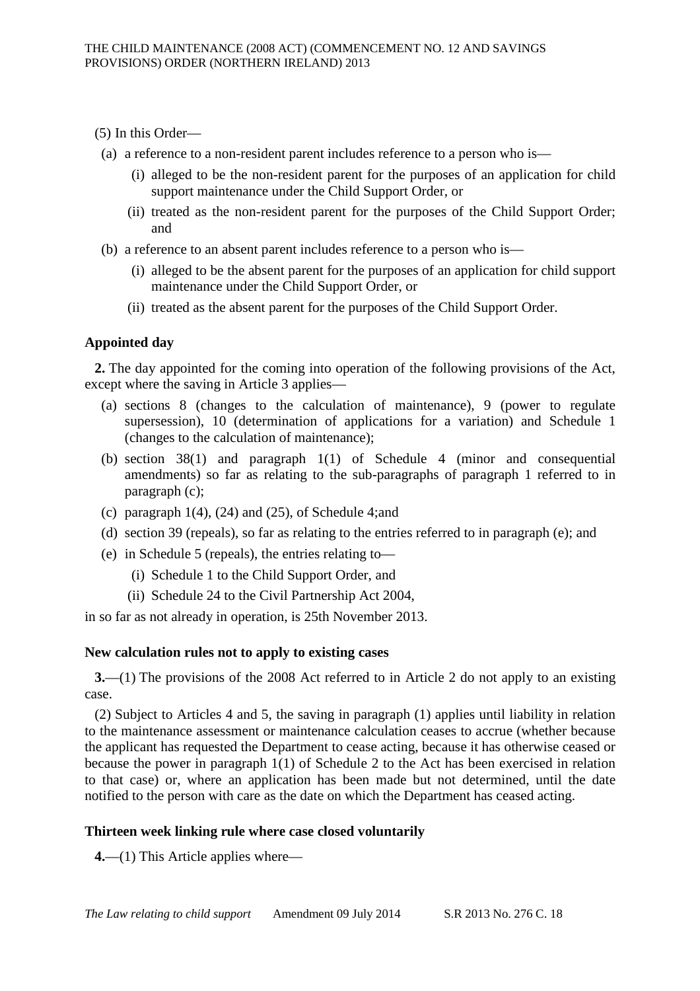- (5) In this Order—
- (a) a reference to a non-resident parent includes reference to a person who is—
	- (i) alleged to be the non-resident parent for the purposes of an application for child support maintenance under the Child Support Order, or
	- (ii) treated as the non-resident parent for the purposes of the Child Support Order; and
- (b) a reference to an absent parent includes reference to a person who is—
	- (i) alleged to be the absent parent for the purposes of an application for child support maintenance under the Child Support Order, or
	- (ii) treated as the absent parent for the purposes of the Child Support Order.

## **Appointed day**

**2.** The day appointed for the coming into operation of the following provisions of the Act, except where the saving in Article 3 applies—

- (a) sections 8 (changes to the calculation of maintenance), 9 (power to regulate supersession), 10 (determination of applications for a variation) and Schedule 1 (changes to the calculation of maintenance);
- (b) section 38(1) and paragraph 1(1) of Schedule 4 (minor and consequential amendments) so far as relating to the sub-paragraphs of paragraph 1 referred to in paragraph (c);
- (c) paragraph  $1(4)$ ,  $(24)$  and  $(25)$ , of Schedule 4; and
- (d) section 39 (repeals), so far as relating to the entries referred to in paragraph (e); and
- (e) in Schedule 5 (repeals), the entries relating to—
	- (i) Schedule 1 to the Child Support Order, and
	- (ii) Schedule 24 to the Civil Partnership Act 2004,

in so far as not already in operation, is 25th November 2013.

### **New calculation rules not to apply to existing cases**

**3.**—(1) The provisions of the 2008 Act referred to in Article 2 do not apply to an existing case.

(2) Subject to Articles 4 and 5, the saving in paragraph (1) applies until liability in relation to the maintenance assessment or maintenance calculation ceases to accrue (whether because the applicant has requested the Department to cease acting, because it has otherwise ceased or because the power in paragraph 1(1) of Schedule 2 to the Act has been exercised in relation to that case) or, where an application has been made but not determined, until the date notified to the person with care as the date on which the Department has ceased acting.

## **Thirteen week linking rule where case closed voluntarily**

**4.**—(1) This Article applies where—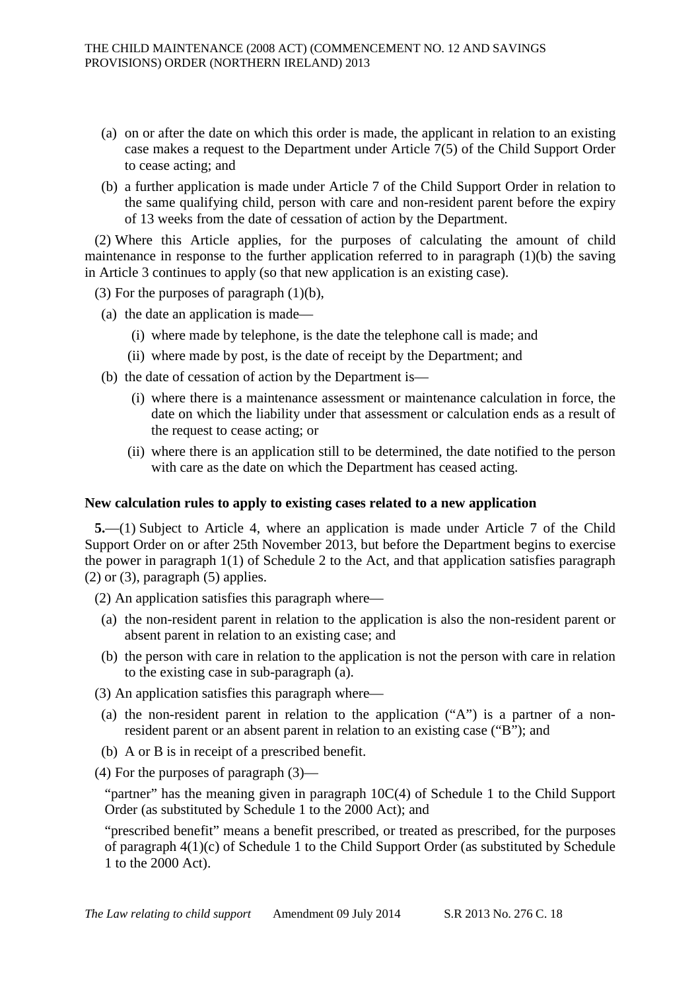- (a) on or after the date on which this order is made, the applicant in relation to an existing case makes a request to the Department under Article 7(5) of the Child Support Order to cease acting; and
- (b) a further application is made under Article 7 of the Child Support Order in relation to the same qualifying child, person with care and non-resident parent before the expiry of 13 weeks from the date of cessation of action by the Department.

(2) Where this Article applies, for the purposes of calculating the amount of child maintenance in response to the further application referred to in paragraph (1)(b) the saving in Article 3 continues to apply (so that new application is an existing case).

(3) For the purposes of paragraph (1)(b),

- (a) the date an application is made—
	- (i) where made by telephone, is the date the telephone call is made; and
	- (ii) where made by post, is the date of receipt by the Department; and
- (b) the date of cessation of action by the Department is—
	- (i) where there is a maintenance assessment or maintenance calculation in force, the date on which the liability under that assessment or calculation ends as a result of the request to cease acting; or
	- (ii) where there is an application still to be determined, the date notified to the person with care as the date on which the Department has ceased acting.

#### **New calculation rules to apply to existing cases related to a new application**

**5.**—(1) Subject to Article 4, where an application is made under Article 7 of the Child Support Order on or after 25th November 2013, but before the Department begins to exercise the power in paragraph 1(1) of Schedule 2 to the Act, and that application satisfies paragraph  $(2)$  or  $(3)$ , paragraph  $(5)$  applies.

(2) An application satisfies this paragraph where—

- (a) the non-resident parent in relation to the application is also the non-resident parent or absent parent in relation to an existing case; and
- (b) the person with care in relation to the application is not the person with care in relation to the existing case in sub-paragraph (a).
- (3) An application satisfies this paragraph where—
	- (a) the non-resident parent in relation to the application ("A") is a partner of a nonresident parent or an absent parent in relation to an existing case ("B"); and
	- (b) A or B is in receipt of a prescribed benefit.
- (4) For the purposes of paragraph (3)—

"partner" has the meaning given in paragraph 10C(4) of Schedule 1 to the Child Support Order (as substituted by Schedule 1 to the 2000 Act); and

"prescribed benefit" means a benefit prescribed, or treated as prescribed, for the purposes of paragraph 4(1)(c) of Schedule 1 to the Child Support Order (as substituted by Schedule 1 to the 2000 Act).